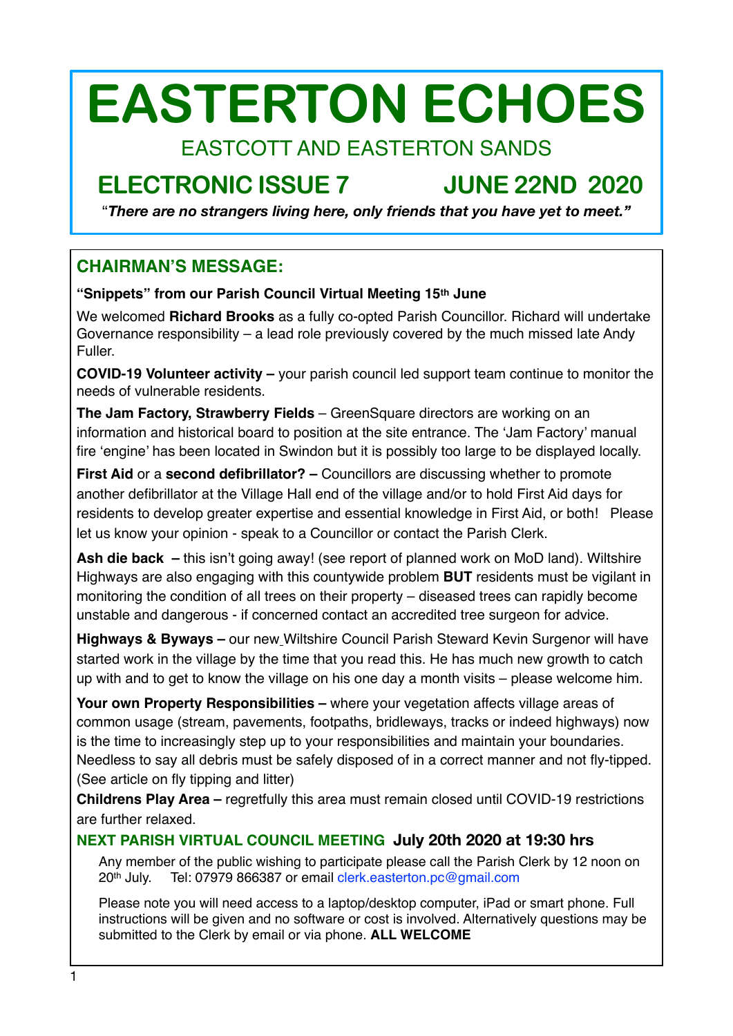# **EASTERTON ECHOES**

# EASTCOTT AND EASTERTON SANDS

# **ELECTRONIC ISSUE 7 JUNE 22ND 2020**

"*There are no strangers living here, only friends that you have yet to meet."*

# **CHAIRMAN'S MESSAGE:**

#### **"Snippets" from our Parish Council Virtual Meeting 15th June**

We welcomed **Richard Brooks** as a fully co-opted Parish Councillor. Richard will undertake Governance responsibility – a lead role previously covered by the much missed late Andy Fuller.

**COVID-19 Volunteer activity –** your parish council led support team continue to monitor the needs of vulnerable residents.

**The Jam Factory, Strawberry Fields** – GreenSquare directors are working on an information and historical board to position at the site entrance. The 'Jam Factory' manual fire 'engine' has been located in Swindon but it is possibly too large to be displayed locally.

**First Aid** or a **second defibrillator? –** Councillors are discussing whether to promote another defibrillator at the Village Hall end of the village and/or to hold First Aid days for residents to develop greater expertise and essential knowledge in First Aid, or both! Please let us know your opinion - speak to a Councillor or contact the Parish Clerk.

**Ash die back –** this isn't going away! (see report of planned work on MoD land). Wiltshire Highways are also engaging with this countywide problem **BUT** residents must be vigilant in monitoring the condition of all trees on their property – diseased trees can rapidly become unstable and dangerous - if concerned contact an accredited tree surgeon for advice.

**Highways & Byways –** our new Wiltshire Council Parish Steward Kevin Surgenor will have started work in the village by the time that you read this. He has much new growth to catch up with and to get to know the village on his one day a month visits – please welcome him.

**Your own Property Responsibilities –** where your vegetation affects village areas of common usage (stream, pavements, footpaths, bridleways, tracks or indeed highways) now is the time to increasingly step up to your responsibilities and maintain your boundaries. Needless to say all debris must be safely disposed of in a correct manner and not fly-tipped. (See article on fly tipping and litter)

**Childrens Play Area –** regretfully this area must remain closed until COVID-19 restrictions are further relaxed.

#### **NEXT PARISH VIRTUAL COUNCIL MEETING July 20th 2020 at 19:30 hrs**

Any member of the public wishing to participate please call the Parish Clerk by 12 noon on 20th July. Tel: 07979 866387 or email [clerk.easterton.pc@gmail.com](mailto:clerk.easterton.pc@gmail.com)

Please note you will need access to a laptop/desktop computer, iPad or smart phone. Full instructions will be given and no software or cost is involved. Alternatively questions may be submitted to the Clerk by email or via phone. **ALL WELCOME**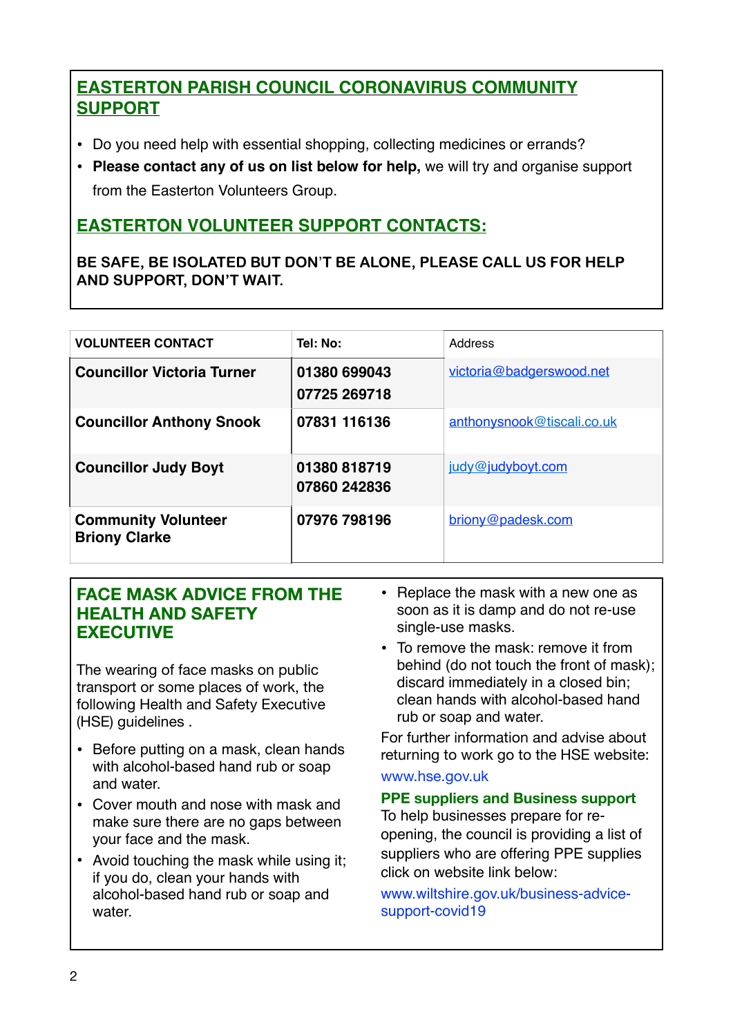# **EASTERTON PARISH COUNCIL CORONAVIRUS COMMUNITY SUPPORT**

- Do you need help with essential shopping, collecting medicines or errands?
- **Please contact any of us on list below for help,** we will try and organise support from the Easterton Volunteers Group.

# **EASTERTON VOLUNTEER SUPPORT CONTACTS:**

**BE SAFE, BE ISOLATED BUT DON**'**T BE ALONE, PLEASE CALL US FOR HELP AND SUPPORT, DON'T WAIT.**

| <b>VOLUNTEER CONTACT</b>                           | Tel: No:                     | Address                    |
|----------------------------------------------------|------------------------------|----------------------------|
| <b>Councillor Victoria Turner</b>                  | 01380 699043<br>07725 269718 | victoria@badgerswood.net   |
| <b>Councillor Anthony Snook</b>                    | 07831 116136                 | anthonysnook@tiscali.co.uk |
| <b>Councillor Judy Boyt</b>                        | 01380 818719<br>07860 242836 | judy@judyboyt.com          |
| <b>Community Volunteer</b><br><b>Briony Clarke</b> | 07976 798196                 | briony@padesk.com          |

### **FACE MASK ADVICE FROM THE HEALTH AND SAFETY EXECUTIVE**

The wearing of face masks on public transport or some places of work, the following Health and Safety Executive (HSE) guidelines .

- Before putting on a mask, clean hands with alcohol-based hand rub or soap and water.
- Cover mouth and nose with mask and make sure there are no gaps between your face and the mask.
- Avoid touching the mask while using it; if you do, clean your hands with alcohol-based hand rub or soap and water.
- Replace the mask with a new one as soon as it is damp and do not re-use single-use masks.
- To remove the mask: remove it from behind (do not touch the front of mask); discard immediately in a closed bin; clean hands with alcohol-based hand rub or soap and water.

For further information and advise about returning to work go to the HSE website:

#### [www.hse.gov.uk](http://www.hse.gov.uk)

#### **PPE suppliers and Business support**

To help businesses prepare for reopening, the council is providing a list of suppliers who are offering PPE supplies click on website link below:

[www.wiltshire.gov.uk/business-advice](http://www.wiltshire.gov.uk/business-advice-support-covid19)[support-covid19](http://www.wiltshire.gov.uk/business-advice-support-covid19)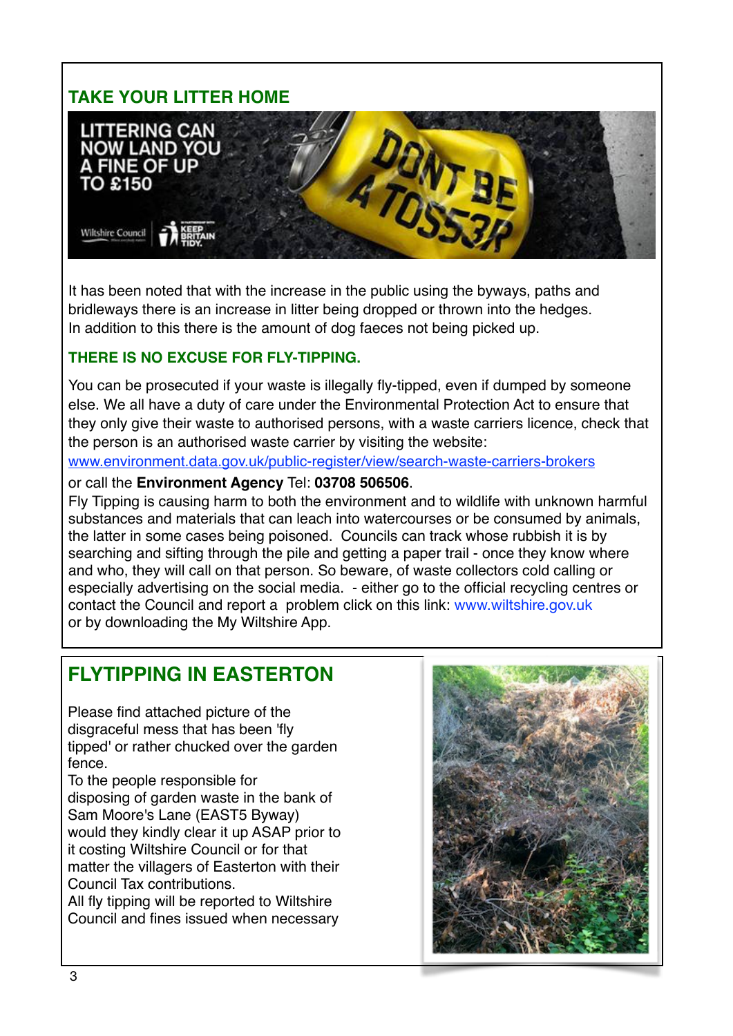# **TAKE YOUR LITTER HOME**



It has been noted that with the increase in the public using the byways, paths and bridleways there is an increase in litter being dropped or thrown into the hedges. In addition to this there is the amount of dog faeces not being picked up.

#### **THERE IS NO EXCUSE FOR FLY-TIPPING.**

You can be prosecuted if your waste is illegally fly-tipped, even if dumped by someone else. We all have a duty of care under the Environmental Protection Act to ensure that they only give their waste to authorised persons, with a waste carriers licence, check that the person is an authorised waste carrier by visiting the website:

[www.environment.data.gov.uk/public-register/view/search-waste-carriers-brokers](https://eur02.safelinks.protection.outlook.com/?url=https%253A%252F%252Fenvironment.data.gov.uk%252Fpublic-register%252Fview%252Fsearch-waste-carriers-brokers&data=02%257C01%257CBecky.Banbury%2540wiltshire.gov.uk%257Cce3c1bf894084498afde08d7ed13e077%257C5546e75e3be14813b0ff26651ea2fe19%257C0%257C0%257C637238541963775175&sdata=B2Am8b16i4jQcHH2TS0f5ai9FQIgnFCgFbhwTAbxB4A%253D&reserved=0)

or call the **Environment Agency** Tel: **03708 506506**.

Fly Tipping is causing harm to both the environment and to wildlife with unknown harmful substances and materials that can leach into watercourses or be consumed by animals, the latter in some cases being poisoned. Councils can track whose rubbish it is by searching and sifting through the pile and getting a paper trail - once they know where and who, they will call on that person. So beware, of waste collectors cold calling or especially advertising on the social media. - either go to the official recycling centres or contact the Council and report a problem click on this link: [www.wiltshire.gov.uk](http://www.wiltshire.gov.uk) or by downloading the My Wiltshire App.

# **FLYTIPPING IN EASTERTON**

Please find attached picture of the disgraceful mess that has been 'fly tipped' or rather chucked over the garden fence.

To the people responsible for disposing of garden waste in the bank of Sam Moore's Lane (EAST5 Byway) would they kindly clear it up ASAP prior to it costing Wiltshire Council or for that matter the villagers of Easterton with their Council Tax contributions.

All fly tipping will be reported to Wiltshire Council and fines issued when necessary

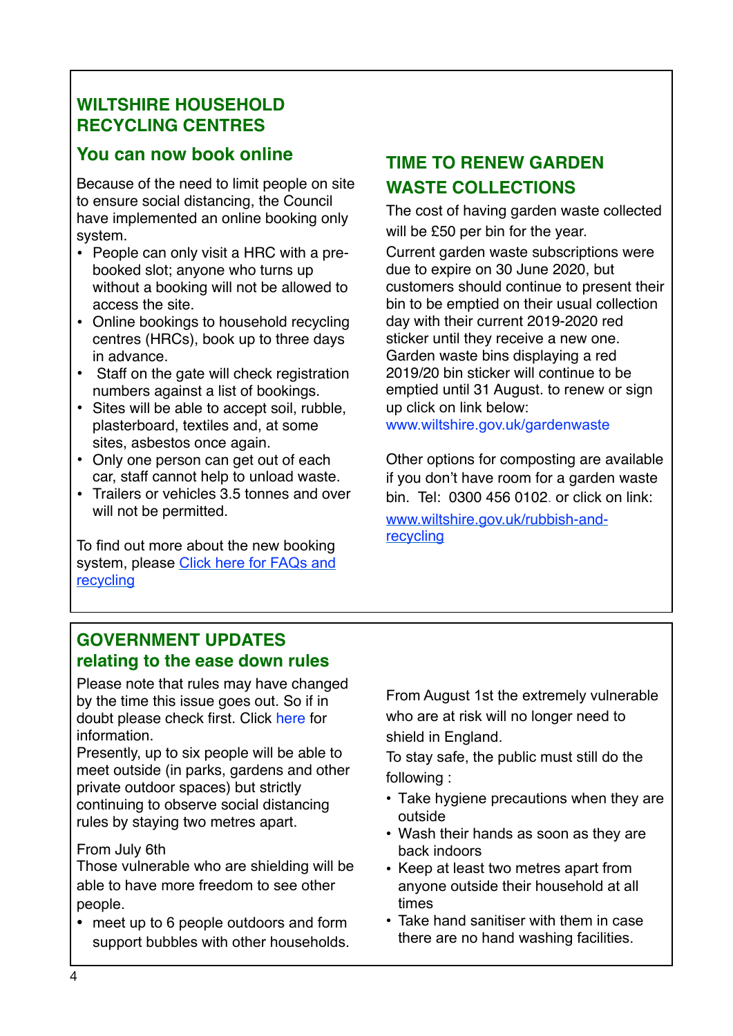# **WILTSHIRE HOUSEHOLD RECYCLING CENTRES**

# **You can now book online**

Because of the need to limit people on site to ensure social distancing, the Council have implemented an online booking only system.

- People can only visit a HRC with a prebooked slot; anyone who turns up without a booking will not be allowed to access the site.
- Online bookings to household recycling centres (HRCs), book up to three days in advance.
- Staff on the gate will check registration numbers against a list of bookings.
- Sites will be able to accept soil, rubble, plasterboard, textiles and, at some sites, asbestos once again.
- Only one person can get out of each car, staff cannot help to unload waste.
- Trailers or vehicles 3.5 tonnes and over will not be permitted.

To find out more about the new booking system, please [Click here for FAQs and](https://eur02.safelinks.protection.outlook.com/?url=http://www.wiltshire.gov.uk/household-recycling-centres-book&data=02%7C01%7CCeri.Tocock@wiltshire.gov.uk%7Cd4b2e1ed00ac413460aa08d8088b944e%7C5546e75e3be14813b0ff26651ea2fe19%7C0%7C0%7C637268742859551380&sdata=PrDoYV4SZFtYovhPAcfJLtJ29qKNJSpR5bOTvYWyVrg=&reserved=0)  [recycling](https://eur02.safelinks.protection.outlook.com/?url=http://www.wiltshire.gov.uk/household-recycling-centres-book&data=02%7C01%7CCeri.Tocock@wiltshire.gov.uk%7Cd4b2e1ed00ac413460aa08d8088b944e%7C5546e75e3be14813b0ff26651ea2fe19%7C0%7C0%7C637268742859551380&sdata=PrDoYV4SZFtYovhPAcfJLtJ29qKNJSpR5bOTvYWyVrg=&reserved=0)

# **TIME TO RENEW GARDEN WASTE COLLECTIONS**

The cost of having garden waste collected will be £50 per bin for the year.

Current garden waste subscriptions were due to expire on 30 June 2020, but customers should continue to present their bin to be emptied on their usual collection day with their current 2019-2020 red sticker until they receive a new one. Garden waste bins displaying a red 2019/20 bin sticker will continue to be emptied until 31 August. to renew or sign up click on link below:

[www.wiltshire.gov.uk/gardenwaste](https://eur02.safelinks.protection.outlook.com/?url=http%3A%2F%2Ftrack.vuelio.uk.com%2Fz.z%3Fl%3DaHR0cDovL3d3dy53aWx0c2hpcmUuZ292LnVrL2dhcmRlbndhc3Rl%26r%3D8562881472%26d%3D3333977%26p%3D1%26t%3Dh%26h%3Df7c09b45a6be22fc9ae0ceb5639a3151&data=02%7C01%7Csue.ellison%40wiltshire.gov.uk%7Ce5e018fb85ac4c42bbc108d81128fea7%7C5546e75e3be14813b0ff26651ea2fe19%7C0%7C0%7C637278215065732621&sdata=u1kOy7kNccHgex1yuT0zRlJV88dw6T8E7SnGF7OGzEI%3D&reserved=0)

Other options for composting are available if you don't have room for a garden waste bin. Tel: 0300 456 0102. or click on link: [www.wiltshire.gov.uk/rubbish-and](https://eur02.safelinks.protection.outlook.com/?url=http%3A%2F%2Ftrack.vuelio.uk.com%2Fz.z%3Fl%3DaHR0cDovL3d3dy53aWx0c2hpcmUuZ292LnVrL3J1YmJpc2gtYW5kLXJlY3ljbGluZw%253d%253d%26r%3D8562881472%26d%3D3333977%26p%3D1%26t%3Dh%26h%3D09ae1e95b9fd43871627cb1d21f3dd7c&data=02%7C01%7Csue.ellison%40wiltshire.gov.uk%7Ce5e018fb85ac4c42bbc108d81128fea7%7C5546e75e3be14813b0ff26651ea2fe19%7C0%7C0%7C637278215065742572&sdata=Gg6bkB5koqynI1LbV4wU5DwLZNcr9ts2NrbyGxkLQd4%3D&reserved=0)[recycling](https://eur02.safelinks.protection.outlook.com/?url=http%3A%2F%2Ftrack.vuelio.uk.com%2Fz.z%3Fl%3DaHR0cDovL3d3dy53aWx0c2hpcmUuZ292LnVrL3J1YmJpc2gtYW5kLXJlY3ljbGluZw%253d%253d%26r%3D8562881472%26d%3D3333977%26p%3D1%26t%3Dh%26h%3D09ae1e95b9fd43871627cb1d21f3dd7c&data=02%7C01%7Csue.ellison%40wiltshire.gov.uk%7Ce5e018fb85ac4c42bbc108d81128fea7%7C5546e75e3be14813b0ff26651ea2fe19%7C0%7C0%7C637278215065742572&sdata=Gg6bkB5koqynI1LbV4wU5DwLZNcr9ts2NrbyGxkLQd4%3D&reserved=0)

### **GOVERNMENT UPDATES relating to the ease down rules**

Please note that rules may have changed by the time this issue goes out. So if in doubt please check first. Click [here](https://eur02.safelinks.protection.outlook.com/?url=https%3A%2F%2Fbit.ly%2FCV19FAQs&data=02%7C01%7CBecky.Banbury%40wiltshire.gov.uk%7C094efeaac2dc46ed157008d803be6744%7C5546e75e3be14813b0ff26651ea2fe19%7C0%7C0%7C637263463589471806&sdata=FjpgOqpODlykPwHoUvegw88NEBeeo0rw8tyQW7s2f1Y%3D&reserved=0) for information.

Presently, up to six people will be able to meet outside (in parks, gardens and other private outdoor spaces) but strictly continuing to observe social distancing rules by staying two metres apart.

#### From July 6th

Those vulnerable who are shielding will be able to have more freedom to see other people.

• meet up to 6 people outdoors and form support bubbles with other households. From August 1st the extremely vulnerable who are at risk will no longer need to shield in England.

To stay safe, the public must still do the following :

- Take hygiene precautions when they are outside
- Wash their hands as soon as they are back indoors
- Keep at least two metres apart from anyone outside their household at all times
- Take hand sanitiser with them in case there are no hand washing facilities.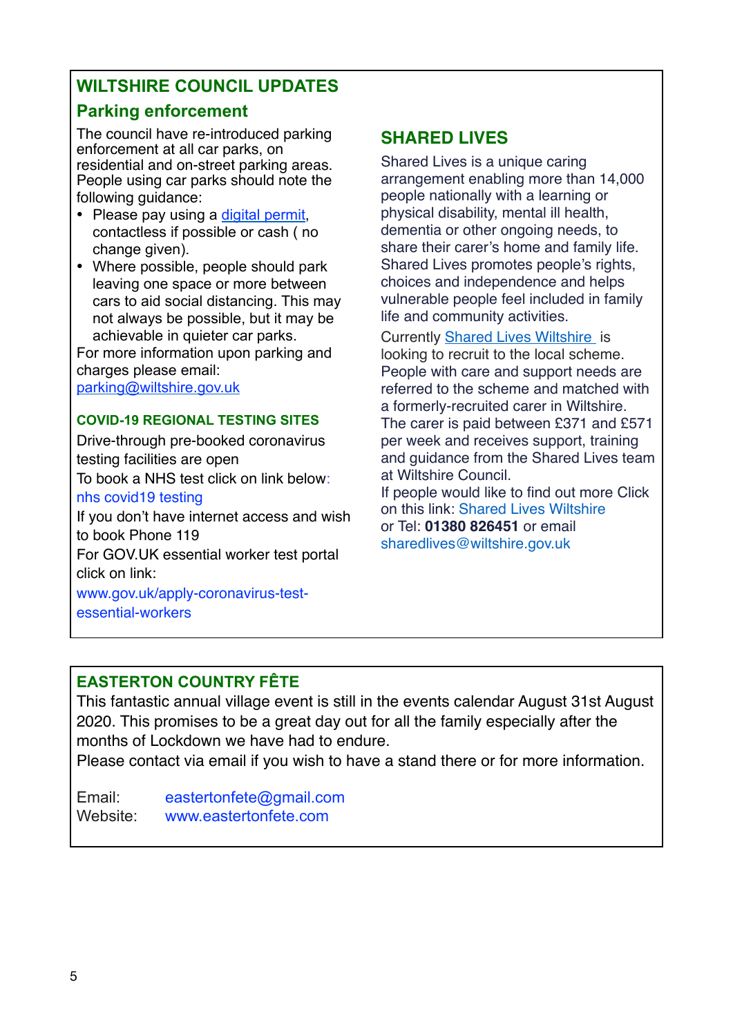# **WILTSHIRE COUNCIL UPDATES**

# **Parking enforcement**

The council have re-introduced parking enforcement at all car parks, on residential and on-street parking areas. People using car parks should note the following guidance:

- Please pay using a [digital permit](https://eur02.safelinks.protection.outlook.com/?url=https://secure.mipermit.com/wiltshire/application/login.aspx&data=02%7C01%7CBecky.Banbury@wiltshire.gov.uk%7C933e40e4e0fa479fbd8b08d8030fd490%7C5546e75e3be14813b0ff26651ea2fe19%7C0%7C0%7C637262713803994634&sdata=D4UlsJq0kMYnC24ym6no0AB7nrUgKokb0BGZCKqAVLw=&reserved=0), contactless if possible or cash ( no change given).
- Where possible, people should park leaving one space or more between cars to aid social distancing. This may not always be possible, but it may be achievable in quieter car parks.

For more information upon parking and charges please email:

[parking@wiltshire.gov.uk](mailto:parking@wiltshire.gov.uk)

#### **COVID-19 REGIONAL TESTING SITES**

Drive-through pre-booked coronavirus testing facilities are open

To book a NHS test click on link below:

#### [nhs covid19 testing](https://www.nhs.uk/conditions/coronavirus-covid-19/testing-for-coronavirus/ask-for-a-test-to-check-if-you-have-coronavirus/)

If you don't have internet access and wish to book Phone 119

For GOV.UK essential worker test portal click on link:

[www.gov.uk/apply-coronavirus-test](https://www.gov.uk/apply-coronavirus-test-essential-workers)[essential-workers](https://www.gov.uk/apply-coronavirus-test-essential-workers)

# **SHARED LIVES**

Shared Lives is a unique caring arrangement enabling more than 14,000 people nationally with a learning or physical disability, mental ill health, dementia or other ongoing needs, to share their carer's home and family life. Shared Lives promotes people's rights, choices and independence and helps vulnerable people feel included in family life and community activities.

Currently [Shared Lives Wiltshire](https://adults.wiltshire.gov.uk/Services/1366) is looking to recruit to the local scheme. People with care and support needs are referred to the scheme and matched with a formerly-recruited carer in Wiltshire. The carer is paid between £371 and £571 per week and receives support, training and guidance from the Shared Lives team at Wiltshire Council. If people would like to find out more Click

on this link: [Shared Lives Wiltshire](https://adults.wiltshire.gov.uk/Services/1366) or Tel: **01380 826451** or email [sharedlives@wiltshire.gov.uk](mailto:sharedlives@wiltshire.gov.uk)

### **EASTERTON COUNTRY FÊTE**

This fantastic annual village event is still in the events calendar August 31st August 2020. This promises to be a great day out for all the family especially after the months of Lockdown we have had to endure.

Please contact via email if you wish to have a stand there or for more information.

Email: [eastertonfete@gmail.com](mailto:eastertonfete@gmail.com) Website: [www.eastertonfete.com](http://www.eastertonfete.com)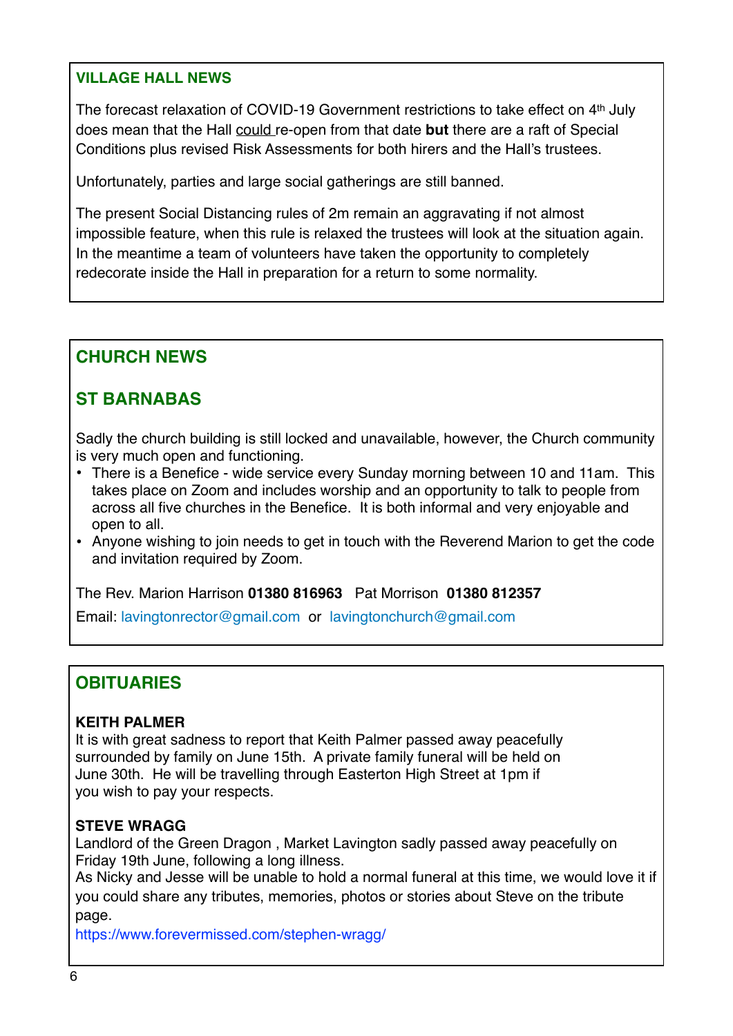#### **VILLAGE HALL NEWS**

The forecast relaxation of COVID-19 Government restrictions to take effect on 4th July does mean that the Hall could re-open from that date **but** there are a raft of Special Conditions plus revised Risk Assessments for both hirers and the Hall's trustees.

Unfortunately, parties and large social gatherings are still banned.

The present Social Distancing rules of 2m remain an aggravating if not almost impossible feature, when this rule is relaxed the trustees will look at the situation again. In the meantime a team of volunteers have taken the opportunity to completely redecorate inside the Hall in preparation for a return to some normality.

# **CHURCH NEWS**

# **ST BARNABAS**

Sadly the church building is still locked and unavailable, however, the Church community is very much open and functioning.

- There is a Benefice wide service every Sunday morning between 10 and 11am. This takes place on Zoom and includes worship and an opportunity to talk to people from across all five churches in the Benefice. It is both informal and very enjoyable and open to all.
- Anyone wishing to join needs to get in touch with the Reverend Marion to get the code and invitation required by Zoom.

The Rev. Marion Harrison **01380 816963** Pat Morrison **01380 812357**

Email: [lavingtonrector@gmail.com](mailto:lavingotnrector@gmail.com) or [lavingtonchurch@gmail.com](mailto:lavingtonchurch@gmail.com)

# **OBITUARIES**

#### **KEITH PALMER**

It is with great sadness to report that Keith Palmer passed away peacefully surrounded by family on June 15th. A private family funeral will be held on June 30th. He will be travelling through Easterton High Street at 1pm if you wish to pay your respects.

#### **STEVE WRAGG**

Landlord of the Green Dragon , Market Lavington sadly passed away peacefully on Friday 19th June, following a long illness.

As Nicky and Jesse will be unable to hold a normal funeral at this time, we would love it if you could share any tributes, memories, photos or stories about Steve on the tribute page.

https://www.forevermissed.com/stephen-wragg/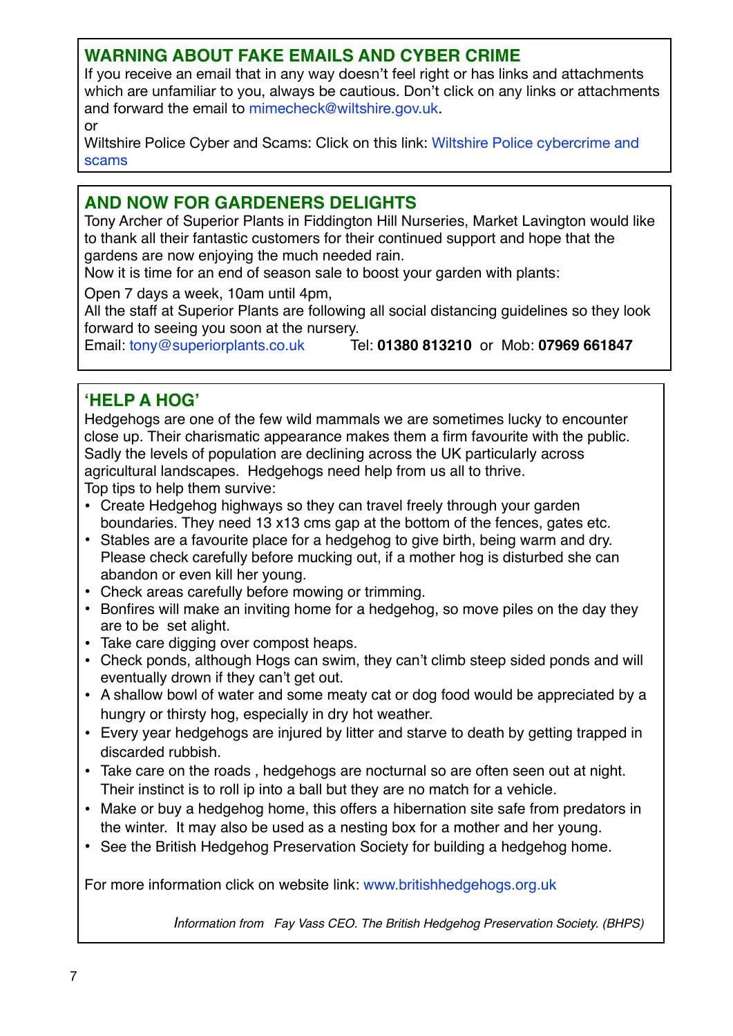### **WARNING ABOUT FAKE EMAILS AND CYBER CRIME**

If you receive an email that in any way doesn't feel right or has links and attachments which are unfamiliar to you, always be cautious. Don't click on any links or attachments and forward the email to [mimecheck@wiltshire.gov.uk](mailto:mimecheck@wiltshire.gov.uk).

or

Wiltshire Police Cyber and Scams: Click on this link: [Wiltshire Police cybercrime and](https://www.wiltshire.police.uk/article/723/Frauds-scams-and-cyber-crime)  [scams](https://www.wiltshire.police.uk/article/723/Frauds-scams-and-cyber-crime) 

### **AND NOW FOR GARDENERS DELIGHTS**

Tony Archer of Superior Plants in Fiddington Hill Nurseries, Market Lavington would like to thank all their fantastic customers for their continued support and hope that the gardens are now enjoying the much needed rain.

Now it is time for an end of season sale to boost your garden with plants:

Open 7 days a week, 10am until 4pm,

All the staff at Superior Plants are following all social distancing guidelines so they look forward to seeing you soon at the nursery.

Email: [tony@superiorplants.co.uk](mailto:tony@superiorplants.co.uk) Tel: **01380 813210** or Mob: **07969 661847**

#### **'HELP A HOG'**

Hedgehogs are one of the few wild mammals we are sometimes lucky to encounter close up. Their charismatic appearance makes them a firm favourite with the public. Sadly the levels of population are declining across the UK particularly across agricultural landscapes. Hedgehogs need help from us all to thrive. Top tips to help them survive:

- Create Hedgehog highways so they can travel freely through your garden boundaries. They need 13 x13 cms gap at the bottom of the fences, gates etc.
- Stables are a favourite place for a hedgehog to give birth, being warm and dry. Please check carefully before mucking out, if a mother hog is disturbed she can abandon or even kill her young.
- Check areas carefully before mowing or trimming.
- Bonfires will make an inviting home for a hedgehog, so move piles on the day they are to be set alight.
- Take care digging over compost heaps.
- Check ponds, although Hogs can swim, they can't climb steep sided ponds and will eventually drown if they can't get out.
- A shallow bowl of water and some meaty cat or dog food would be appreciated by a hungry or thirsty hog, especially in dry hot weather.
- Every year hedgehogs are injured by litter and starve to death by getting trapped in discarded rubbish.
- Take care on the roads , hedgehogs are nocturnal so are often seen out at night. Their instinct is to roll ip into a ball but they are no match for a vehicle.
- Make or buy a hedgehog home, this offers a hibernation site safe from predators in the winter. It may also be used as a nesting box for a mother and her young.
- See the British Hedgehog Preservation Society for building a hedgehog home.

For more information click on website link: [www.britishhedgehogs.org.uk](http://www.britishhedgehogs.org.uk)

*Information from Fay Vass CEO. The British Hedgehog Preservation Society. (BHPS)*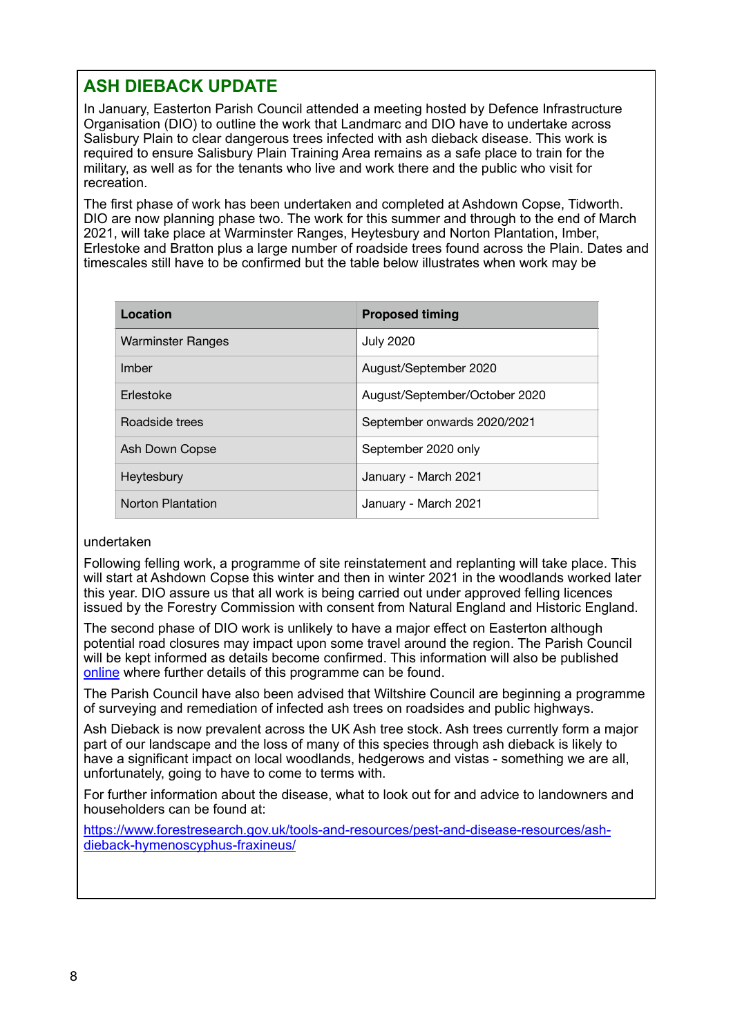## **ASH DIEBACK UPDATE**

In January, Easterton Parish Council attended a meeting hosted by Defence Infrastructure Organisation (DIO) to outline the work that Landmarc and DIO have to undertake across Salisbury Plain to clear dangerous trees infected with ash dieback disease. This work is required to ensure Salisbury Plain Training Area remains as a safe place to train for the military, as well as for the tenants who live and work there and the public who visit for recreation.

The first phase of work has been undertaken and completed at Ashdown Copse, Tidworth. DIO are now planning phase two. The work for this summer and through to the end of March 2021, will take place at Warminster Ranges, Heytesbury and Norton Plantation, Imber, Erlestoke and Bratton plus a large number of roadside trees found across the Plain. Dates and timescales still have to be confirmed but the table below illustrates when work may be

| Location                 | <b>Proposed timing</b>        |
|--------------------------|-------------------------------|
| <b>Warminster Ranges</b> | <b>July 2020</b>              |
| Imber                    | August/September 2020         |
| Erlestoke                | August/September/October 2020 |
| Roadside trees           | September onwards 2020/2021   |
| Ash Down Copse           | September 2020 only           |
| Heytesbury               | January - March 2021          |
| <b>Norton Plantation</b> | January - March 2021          |

#### undertaken

Following felling work, a programme of site reinstatement and replanting will take place. This will start at Ashdown Copse this winter and then in winter 2021 in the woodlands worked later this year. DIO assure us that all work is being carried out under approved felling licences issued by the Forestry Commission with consent from Natural England and Historic England.

The second phase of DIO work is unlikely to have a major effect on Easterton although potential road closures may impact upon some travel around the region. The Parish Council will be kept informed as details become confirmed. This information will also be published [online](https://eur01.safelinks.protection.outlook.com/?url=https%253A%252F%252Fwww.gov.uk%252Fgovernment%252Fpublications%252Fash-dieback-on-the-ministry-of-defence-estate.&data=02%257C01%257Crichard.brooks667%2540mod.gov.uk%257C6de2a3c6008a4a83c48a08d813774a82%257Cbe7760ed5953484bae95d0a16dfa09e5%257C0%257C0%257C637280750352393491&sdata=61%252BppSYcVMCYgXDerK3DoU36bBd46Tbaahbb55L2W4s%253D&reserved=0) where further details of this programme can be found.

The Parish Council have also been advised that Wiltshire Council are beginning a programme of surveying and remediation of infected ash trees on roadsides and public highways.

Ash Dieback is now prevalent across the UK Ash tree stock. Ash trees currently form a major part of our landscape and the loss of many of this species through ash dieback is likely to have a significant impact on local woodlands, hedgerows and vistas - something we are all, unfortunately, going to have to come to terms with.

For further information about the disease, what to look out for and advice to landowners and householders can be found at:

[https://www.forestresearch.gov.uk/tools-and-resources/pest-and-disease-resources/ash](https://www.forestresearch.gov.uk/tools-and-resources/pest-and-disease-resources/ash-dieback-hymenoscyphus-fraxineus/%2520)[dieback-hymenoscyphus-fraxineus/](https://www.forestresearch.gov.uk/tools-and-resources/pest-and-disease-resources/ash-dieback-hymenoscyphus-fraxineus/%2520)